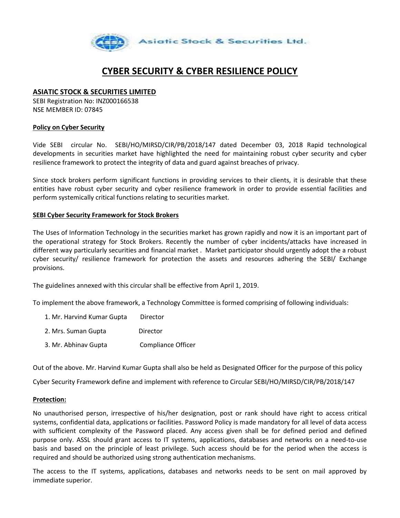

# **CYBER SECURITY & CYBER RESILIENCE POLICY**

# **ASIATIC STOCK & SECURITIES LIMITED**

SEBI Registration No: INZ000166538 NSE MEMBER ID: 07845

## **Policy on Cyber Security**

Vide SEBI circular No. SEBI/HO/MIRSD/CIR/PB/2018/147 dated December 03, 2018 Rapid technological developments in securities market have highlighted the need for maintaining robust cyber security and cyber resilience framework to protect the integrity of data and guard against breaches of privacy.

Since stock brokers perform significant functions in providing services to their clients, it is desirable that these entities have robust cyber security and cyber resilience framework in order to provide essential facilities and perform systemically critical functions relating to securities market.

#### **SEBI Cyber Security Framework for Stock Brokers**

The Uses of Information Technology in the securities market has grown rapidly and now it is an important part of the operational strategy for Stock Brokers. Recently the number of cyber incidents/attacks have increased in different way particularly securities and financial market . Market participator should urgently adopt the a robust cyber security/ resilience framework for protection the assets and resources adhering the SEBI/ Exchange provisions.

The guidelines annexed with this circular shall be effective from April 1, 2019.

To implement the above framework, a Technology Committee is formed comprising of following individuals:

- 1. Mr. Harvind Kumar Gupta Director
- 2. Mrs. Suman Gupta Director
- 3. Mr. Abhinav Gupta Compliance Officer

Out of the above. Mr. Harvind Kumar Gupta shall also be held as Designated Officer for the purpose of this policy

Cyber Security Framework define and implement with reference to Circular SEBI/HO/MIRSD/CIR/PB/2018/147

#### **Protection:**

No unauthorised person, irrespective of his/her designation, post or rank should have right to access critical systems, confidential data, applications or facilities. Password Policy is made mandatory for all level of data access with sufficient complexity of the Password placed. Any access given shall be for defined period and defined purpose only. ASSL should grant access to IT systems, applications, databases and networks on a need-to-use basis and based on the principle of least privilege. Such access should be for the period when the access is required and should be authorized using strong authentication mechanisms.

The access to the IT systems, applications, databases and networks needs to be sent on mail approved by immediate superior.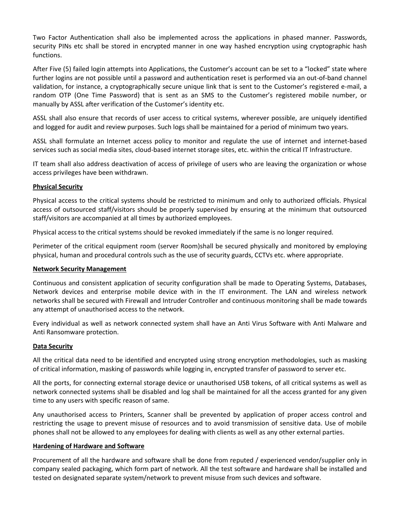Two Factor Authentication shall also be implemented across the applications in phased manner. Passwords, security PINs etc shall be stored in encrypted manner in one way hashed encryption using cryptographic hash functions.

After Five (5) failed login attempts into Applications, the Customer's account can be set to a "locked" state where further logins are not possible until a password and authentication reset is performed via an out-of-band channel validation, for instance, a cryptographically secure unique link that is sent to the Customer's registered e-mail, a random OTP (One Time Password) that is sent as an SMS to the Customer's registered mobile number, or manually by ASSL after verification of the Customer's identity etc.

ASSL shall also ensure that records of user access to critical systems, wherever possible, are uniquely identified and logged for audit and review purposes. Such logs shall be maintained for a period of minimum two years.

ASSL shall formulate an Internet access policy to monitor and regulate the use of internet and internet-based services such as social media sites, cloud-based internet storage sites, etc. within the critical IT Infrastructure.

IT team shall also address deactivation of access of privilege of users who are leaving the organization or whose access privileges have been withdrawn.

## **Physical Security**

Physical access to the critical systems should be restricted to minimum and only to authorized officials. Physical access of outsourced staff/visitors should be properly supervised by ensuring at the minimum that outsourced staff/visitors are accompanied at all times by authorized employees.

Physical access to the critical systems should be revoked immediately if the same is no longer required.

Perimeter of the critical equipment room (server Room)shall be secured physically and monitored by employing physical, human and procedural controls such as the use of security guards, CCTVs etc. where appropriate.

## **Network Security Management**

Continuous and consistent application of security configuration shall be made to Operating Systems, Databases, Network devices and enterprise mobile device with in the IT environment. The LAN and wireless network networks shall be secured with Firewall and Intruder Controller and continuous monitoring shall be made towards any attempt of unauthorised access to the network.

Every individual as well as network connected system shall have an Anti Virus Software with Anti Malware and Anti Ransomware protection.

## **Data Security**

All the critical data need to be identified and encrypted using strong encryption methodologies, such as masking of critical information, masking of passwords while logging in, encrypted transfer of password to server etc.

All the ports, for connecting external storage device or unauthorised USB tokens, of all critical systems as well as network connected systems shall be disabled and log shall be maintained for all the access granted for any given time to any users with specific reason of same.

Any unauthorised access to Printers, Scanner shall be prevented by application of proper access control and restricting the usage to prevent misuse of resources and to avoid transmission of sensitive data. Use of mobile phones shall not be allowed to any employees for dealing with clients as well as any other external parties.

## **Hardening of Hardware and Software**

Procurement of all the hardware and software shall be done from reputed / experienced vendor/supplier only in company sealed packaging, which form part of network. All the test software and hardware shall be installed and tested on designated separate system/network to prevent misuse from such devices and software.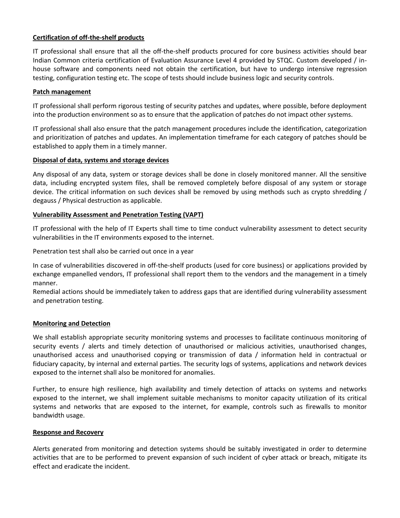## **Certification of off-the-shelf products**

IT professional shall ensure that all the off-the-shelf products procured for core business activities should bear Indian Common criteria certification of Evaluation Assurance Level 4 provided by STQC. Custom developed / inhouse software and components need not obtain the certification, but have to undergo intensive regression testing, configuration testing etc. The scope of tests should include business logic and security controls.

## **Patch management**

IT professional shall perform rigorous testing of security patches and updates, where possible, before deployment into the production environment so as to ensure that the application of patches do not impact other systems.

IT professional shall also ensure that the patch management procedures include the identification, categorization and prioritization of patches and updates. An implementation timeframe for each category of patches should be established to apply them in a timely manner.

#### **Disposal of data, systems and storage devices**

Any disposal of any data, system or storage devices shall be done in closely monitored manner. All the sensitive data, including encrypted system files, shall be removed completely before disposal of any system or storage device. The critical information on such devices shall be removed by using methods such as crypto shredding / degauss / Physical destruction as applicable.

## **Vulnerability Assessment and Penetration Testing (VAPT)**

IT professional with the help of IT Experts shall time to time conduct vulnerability assessment to detect security vulnerabilities in the IT environments exposed to the internet.

Penetration test shall also be carried out once in a year

In case of vulnerabilities discovered in off-the-shelf products (used for core business) or applications provided by exchange empanelled vendors, IT professional shall report them to the vendors and the management in a timely manner.

Remedial actions should be immediately taken to address gaps that are identified during vulnerability assessment and penetration testing.

## **Monitoring and Detection**

We shall establish appropriate security monitoring systems and processes to facilitate continuous monitoring of security events / alerts and timely detection of unauthorised or malicious activities, unauthorised changes, unauthorised access and unauthorised copying or transmission of data / information held in contractual or fiduciary capacity, by internal and external parties. The security logs of systems, applications and network devices exposed to the internet shall also be monitored for anomalies.

Further, to ensure high resilience, high availability and timely detection of attacks on systems and networks exposed to the internet, we shall implement suitable mechanisms to monitor capacity utilization of its critical systems and networks that are exposed to the internet, for example, controls such as firewalls to monitor bandwidth usage.

#### **Response and Recovery**

Alerts generated from monitoring and detection systems should be suitably investigated in order to determine activities that are to be performed to prevent expansion of such incident of cyber attack or breach, mitigate its effect and eradicate the incident.